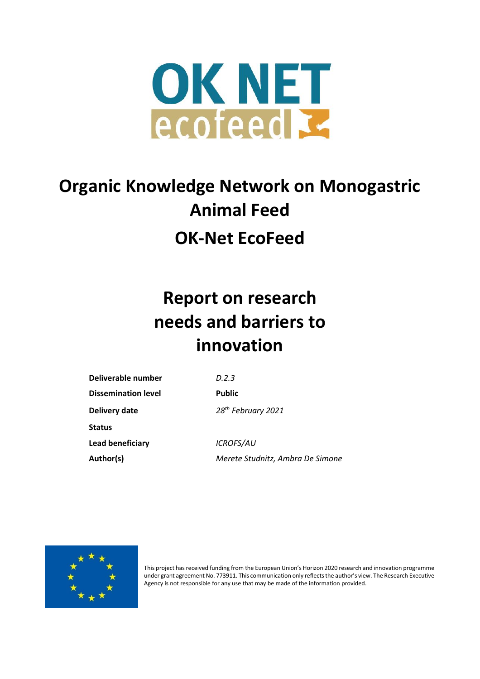

# **Organic Knowledge Network on Monogastric Animal Feed OK-Net EcoFeed**

# **Report on research needs and barriers to innovation**

| Deliverable number         | D.2.3                            |
|----------------------------|----------------------------------|
| <b>Dissemination level</b> | <b>Public</b>                    |
| Delivery date              | 28 <sup>th</sup> February 2021   |
| <b>Status</b>              |                                  |
| Lead beneficiary           | <b>ICROFS/AU</b>                 |
| Author(s)                  | Merete Studnitz, Ambra De Simone |



This project has received funding from the European Union's Horizon 2020 research and innovation programme under grant agreement No. 773911. This communication only reflects the author's view. The Research Executive Agency is not responsible for any use that may be made of the information provided.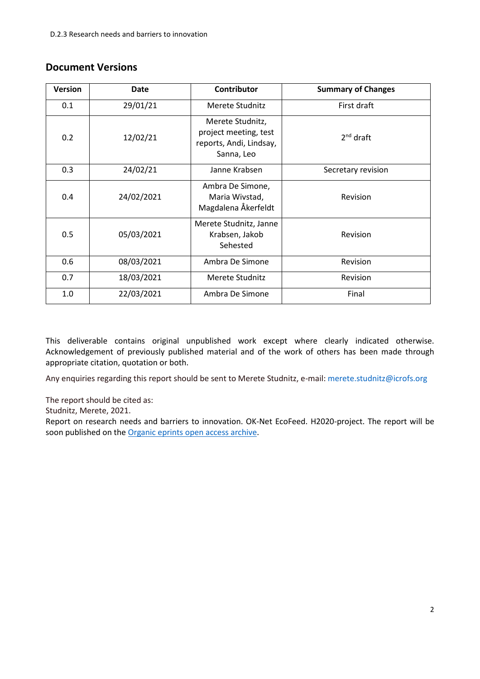# <span id="page-1-0"></span>**Document Versions**

| <b>Version</b> | Date                          | <b>Contributor</b>                                                                 | <b>Summary of Changes</b> |
|----------------|-------------------------------|------------------------------------------------------------------------------------|---------------------------|
| 0.1            | 29/01/21                      | Merete Studnitz                                                                    | First draft               |
| 0.2            | 12/02/21                      | Merete Studnitz,<br>project meeting, test<br>reports, Andi, Lindsay,<br>Sanna, Leo | $2nd$ draft               |
| 0.3            | 24/02/21                      | Janne Krabsen                                                                      | Secretary revision        |
| 0.4            | 24/02/2021                    | Ambra De Simone,<br>Maria Wivstad,<br>Magdalena Åkerfeldt                          | Revision                  |
| 0.5            | 05/03/2021                    | Merete Studnitz, Janne<br>Krabsen, Jakob<br>Sehested                               | Revision                  |
| 0.6            | 08/03/2021                    | Ambra De Simone                                                                    | Revision                  |
| 0.7            | 18/03/2021                    | Merete Studnitz                                                                    | Revision                  |
| 1.0            | 22/03/2021<br>Ambra De Simone |                                                                                    | Final                     |

This deliverable contains original unpublished work except where clearly indicated otherwise. Acknowledgement of previously published material and of the work of others has been made through appropriate citation, quotation or both.

Any enquiries regarding this report should be sent to Merete Studnitz, e-mail: [merete.studnitz@icrofs.org](mailto:merete.studnitz@icrofs.org) 

The report should be cited as:

Studnitz, Merete, 2021.

Report on research needs and barriers to innovation. OK-Net EcoFeed. H2020-project. The report will be soon published on the Organic eprints [open access archive.](http://orgprints.org/39509/)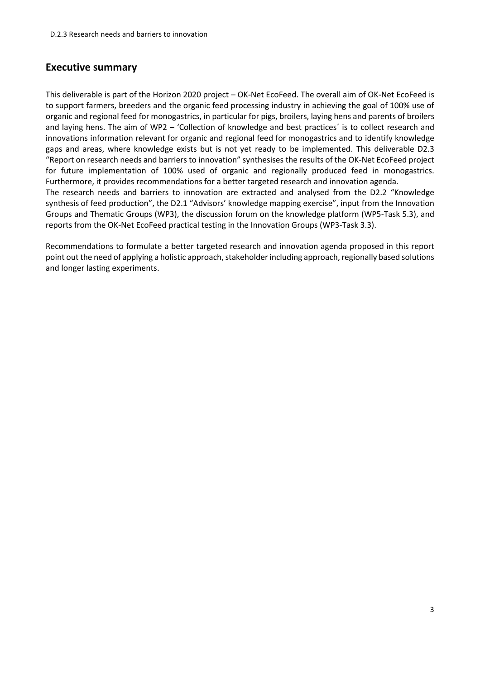## **Executive summary**

This deliverable is part of the Horizon 2020 project – OK-Net EcoFeed. The overall aim of OK-Net EcoFeed is to support farmers, breeders and the organic feed processing industry in achieving the goal of 100% use of organic and regional feed for monogastrics, in particular for pigs, broilers, laying hens and parents of broilers and laying hens. The aim of WP2 – 'Collection of knowledge and best practices´ is to collect research and innovations information relevant for organic and regional feed for monogastrics and to identify knowledge gaps and areas, where knowledge exists but is not yet ready to be implemented. This deliverable D2.3 "Report on research needs and barriers to innovation" synthesises the results of the OK-Net EcoFeed project for future implementation of 100% used of organic and regionally produced feed in monogastrics. Furthermore, it provides recommendations for a better targeted research and innovation agenda. The research needs and barriers to innovation are extracted and analysed from the D2.2 "Knowledge

synthesis of feed production", the D2.1 "Advisors' knowledge mapping exercise", input from the Innovation Groups and Thematic Groups (WP3), the discussion forum on the knowledge platform (WP5-Task 5.3), and reports from the OK-Net EcoFeed practical testing in the Innovation Groups (WP3-Task 3.3).

Recommendations to formulate a better targeted research and innovation agenda proposed in this report point out the need of applying a holistic approach, stakeholder including approach, regionally based solutions and longer lasting experiments.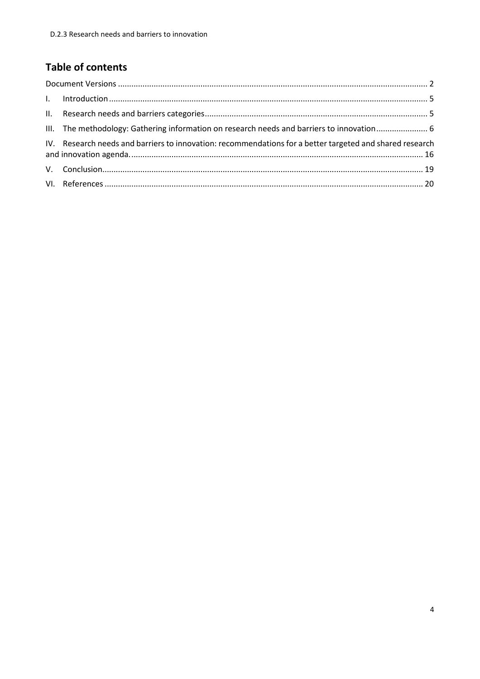# **Table of contents**

| III. The methodology: Gathering information on research needs and barriers to innovation 6               |  |
|----------------------------------------------------------------------------------------------------------|--|
| IV. Research needs and barriers to innovation: recommendations for a better targeted and shared research |  |
|                                                                                                          |  |
|                                                                                                          |  |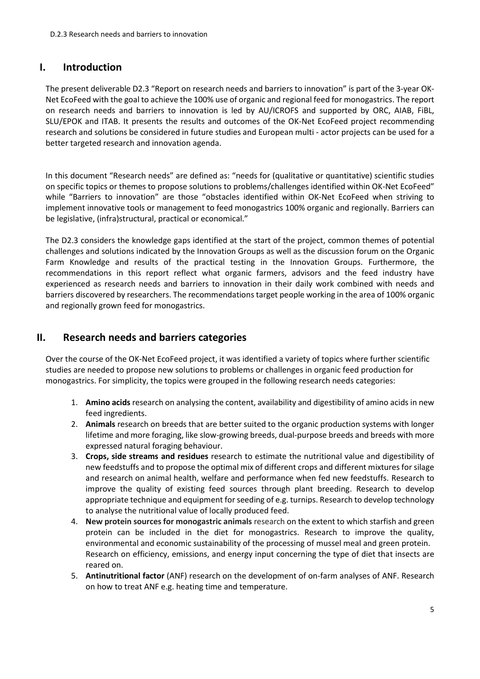## <span id="page-4-0"></span>**I. Introduction**

The present deliverable D2.3 "Report on research needs and barriers to innovation" is part of the 3-year OK-Net EcoFeed with the goal to achieve the 100% use of organic and regional feed for monogastrics. The report on research needs and barriers to innovation is led by AU/ICROFS and supported by ORC, AIAB, FiBL, SLU/EPOK and ITAB. It presents the results and outcomes of the OK-Net EcoFeed project recommending research and solutions be considered in future studies and European multi - actor projects can be used for a better targeted research and innovation agenda.

In this document "Research needs" are defined as: "needs for (qualitative or quantitative) scientific studies on specific topics or themes to propose solutions to problems/challenges identified within OK-Net EcoFeed" while "Barriers to innovation" are those "obstacles identified within OK-Net EcoFeed when striving to implement innovative tools or management to feed monogastrics 100% organic and regionally. Barriers can be legislative, (infra)structural, practical or economical."

The D2.3 considers the knowledge gaps identified at the start of the project, common themes of potential challenges and solutions indicated by the Innovation Groups as well as the discussion forum on the Organic Farm Knowledge and results of the practical testing in the Innovation Groups. Furthermore, the recommendations in this report reflect what organic farmers, advisors and the feed industry have experienced as research needs and barriers to innovation in their daily work combined with needs and barriers discovered by researchers. The recommendations target people working in the area of 100% organic and regionally grown feed for monogastrics.

# <span id="page-4-1"></span>**II. Research needs and barriers categories**

Over the course of the OK-Net EcoFeed project, it was identified a variety of topics where further scientific studies are needed to propose new solutions to problems or challenges in organic feed production for monogastrics. For simplicity, the topics were grouped in the following research needs categories:

- 1. **Amino acids** research on analysing the content, availability and digestibility of amino acids in new feed ingredients.
- 2. **Animals** research on breeds that are better suited to the organic production systems with longer lifetime and more foraging, like slow-growing breeds, dual-purpose breeds and breeds with more expressed natural foraging behaviour.
- 3. **Crops, side streams and residues** research to estimate the nutritional value and digestibility of new feedstuffs and to propose the optimal mix of different crops and different mixtures for silage and research on animal health, welfare and performance when fed new feedstuffs. Research to improve the quality of existing feed sources through plant breeding. Research to develop appropriate technique and equipment for seeding of e.g. turnips. Research to develop technology to analyse the nutritional value of locally produced feed.
- 4. **New protein sources for monogastric animals** research on the extent to which starfish and green protein can be included in the diet for monogastrics. Research to improve the quality, environmental and economic sustainability of the processing of mussel meal and green protein. Research on efficiency, emissions, and energy input concerning the type of diet that insects are reared on.
- 5. **Antinutritional factor** (ANF) research on the development of on-farm analyses of ANF. Research on how to treat ANF e.g. heating time and temperature.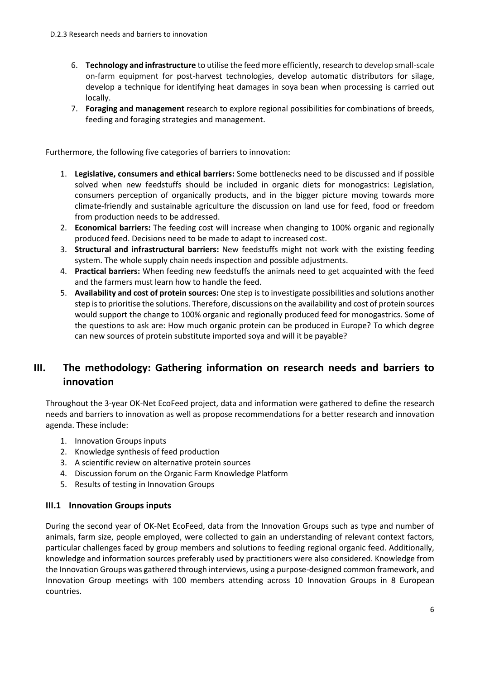- 6. **Technology and infrastructure** to utilise the feed more efficiently, research to develop small-scale on-farm equipment for post-harvest technologies, develop automatic distributors for silage, develop a technique for identifying heat damages in soya bean when processing is carried out locally.
- 7. **Foraging and management** research to explore regional possibilities for combinations of breeds, feeding and foraging strategies and management.

Furthermore, the following five categories of barriers to innovation:

- 1. **Legislative, consumers and ethical barriers:** Some bottlenecks need to be discussed and if possible solved when new feedstuffs should be included in organic diets for monogastrics: Legislation, consumers perception of organically products, and in the bigger picture moving towards more climate-friendly and sustainable agriculture the discussion on land use for feed, food or freedom from production needs to be addressed.
- 2. **Economical barriers:** The feeding cost will increase when changing to 100% organic and regionally produced feed. Decisions need to be made to adapt to increased cost.
- 3. **Structural and infrastructural barriers:** New feedstuffs might not work with the existing feeding system. The whole supply chain needs inspection and possible adjustments.
- 4. **Practical barriers:** When feeding new feedstuffs the animals need to get acquainted with the feed and the farmers must learn how to handle the feed.
- 5. **Availability and cost of protein sources:** One step is to investigate possibilities and solutions another step is to prioritise the solutions. Therefore, discussions on the availability and cost of protein sources would support the change to 100% organic and regionally produced feed for monogastrics. Some of the questions to ask are: How much organic protein can be produced in Europe? To which degree can new sources of protein substitute imported soya and will it be payable?

# <span id="page-5-0"></span>**III. The methodology: Gathering information on research needs and barriers to innovation**

Throughout the 3-year OK-Net EcoFeed project, data and information were gathered to define the research needs and barriers to innovation as well as propose recommendations for a better research and innovation agenda. These include:

- 1. Innovation Groups inputs
- 2. Knowledge synthesis of feed production
- 3. A scientific review on alternative protein sources
- 4. Discussion forum on the Organic Farm Knowledge Platform
- 5. Results of testing in Innovation Groups

#### **III.1 Innovation Groups inputs**

During the second year of OK-Net EcoFeed, data from the Innovation Groups such as type and number of animals, farm size, people employed, were collected to gain an understanding of relevant context factors, particular challenges faced by group members and solutions to feeding regional organic feed. Additionally, knowledge and information sources preferably used by practitioners were also considered. Knowledge from the Innovation Groups was gathered through interviews, using a purpose-designed common framework, and Innovation Group meetings with 100 members attending across 10 Innovation Groups in 8 European countries.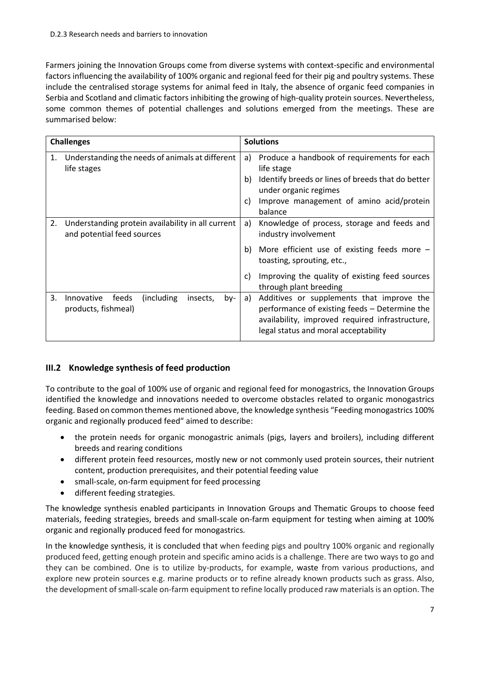Farmers joining the Innovation Groups come from diverse systems with context-specific and environmental factors influencing the availability of 100% organic and regional feed for their pig and poultry systems. These include the centralised storage systems for animal feed in Italy, the absence of organic feed companies in Serbia and Scotland and climatic factors inhibiting the growing of high-quality protein sources. Nevertheless, some common themes of potential challenges and solutions emerged from the meetings. These are summarised below:

|    | <b>Challenges</b>                                                               | <b>Solutions</b> |                                                                                                                                                                                                |  |
|----|---------------------------------------------------------------------------------|------------------|------------------------------------------------------------------------------------------------------------------------------------------------------------------------------------------------|--|
| 1. | Understanding the needs of animals at different<br>life stages                  | a)<br>b)<br>C)   | Produce a handbook of requirements for each<br>life stage<br>Identify breeds or lines of breeds that do better<br>under organic regimes<br>Improve management of amino acid/protein<br>balance |  |
| 2. | Understanding protein availability in all current<br>and potential feed sources | a)<br>b)         | Knowledge of process, storage and feeds and<br>industry involvement<br>More efficient use of existing feeds more $-$<br>toasting, sprouting, etc.,                                             |  |
|    |                                                                                 | C)               | Improving the quality of existing feed sources<br>through plant breeding                                                                                                                       |  |
| 3. | feeds<br>(including)<br>Innovative<br>insects,<br>by-<br>products, fishmeal)    | a)               | Additives or supplements that improve the<br>performance of existing feeds - Determine the<br>availability, improved required infrastructure,<br>legal status and moral acceptability          |  |

## **III.2 Knowledge synthesis of feed production**

To contribute to the goal of 100% use of organic and regional feed for monogastrics, the Innovation Groups identified the knowledge and innovations needed to overcome obstacles related to organic monogastrics feeding. Based on common themes mentioned above, the knowledge synthesis "Feeding monogastrics 100% organic and regionally produced feed" aimed to describe:

- the protein needs for organic monogastric animals (pigs, layers and broilers), including different breeds and rearing conditions
- different protein feed resources, mostly new or not commonly used protein sources, their nutrient content, production prerequisites, and their potential feeding value
- small-scale, on-farm equipment for feed processing
- different feeding strategies.

The knowledge synthesis enabled participants in Innovation Groups and Thematic Groups to choose feed materials, feeding strategies, breeds and small-scale on-farm equipment for testing when aiming at 100% organic and regionally produced feed for monogastrics.

In the knowledge synthesis, it is concluded that when feeding pigs and poultry 100% organic and regionally produced feed, getting enough protein and specific amino acids is a challenge. There are two ways to go and they can be combined. One is to utilize by-products, for example, waste from various productions, and explore new protein sources e.g. marine products or to refine already known products such as grass. Also, the development of small-scale on-farm equipment to refine locally produced raw materials is an option. The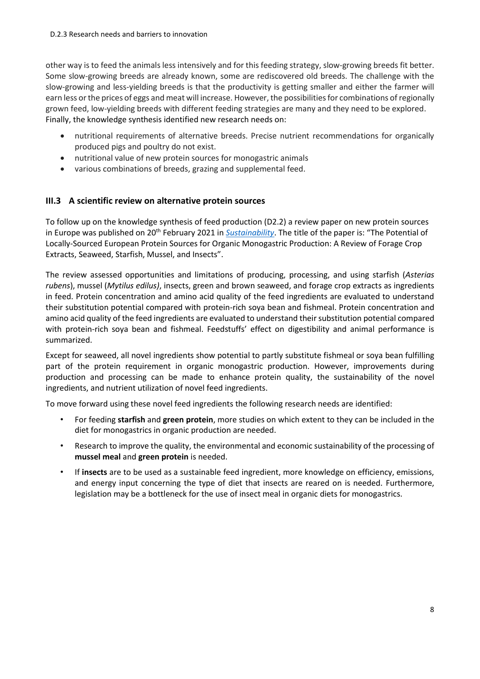other way is to feed the animals less intensively and for this feeding strategy, slow-growing breeds fit better. Some slow-growing breeds are already known, some are rediscovered old breeds. The challenge with the slow-growing and less-yielding breeds is that the productivity is getting smaller and either the farmer will earn less or the prices of eggs and meat will increase. However, the possibilities for combinations of regionally grown feed, low-yielding breeds with different feeding strategies are many and they need to be explored. Finally, the knowledge synthesis identified new research needs on:

- nutritional requirements of alternative breeds. Precise nutrient recommendations for organically produced pigs and poultry do not exist.
- nutritional value of new protein sources for monogastric animals
- various combinations of breeds, grazing and supplemental feed.

## **III.3 A scientific review on alternative protein sources**

To follow up on the knowledge synthesis of feed production (D2.2) a review paper on new protein sources in Europe was published on 20<sup>th</sup> February 2021 in *[Sustainability](https://www.mdpi.com/2071-1050/13/4/2303/pdf)*. The title of the paper is: "The Potential of Locally-Sourced European Protein Sources for Organic Monogastric Production: A Review of Forage Crop Extracts, Seaweed, Starfish, Mussel, and Insects".

The review assessed opportunities and limitations of producing, processing, and using starfish (*Asterias rubens*), mussel (*Mytilus edilus)*, insects, green and brown seaweed, and forage crop extracts as ingredients in feed. Protein concentration and amino acid quality of the feed ingredients are evaluated to understand their substitution potential compared with protein-rich soya bean and fishmeal. Protein concentration and amino acid quality of the feed ingredients are evaluated to understand their substitution potential compared with protein-rich soya bean and fishmeal. Feedstuffs' effect on digestibility and animal performance is summarized.

Except for seaweed, all novel ingredients show potential to partly substitute fishmeal or soya bean fulfilling part of the protein requirement in organic monogastric production. However, improvements during production and processing can be made to enhance protein quality, the sustainability of the novel ingredients, and nutrient utilization of novel feed ingredients.

To move forward using these novel feed ingredients the following research needs are identified:

- For feeding **starfish** and **green protein**, more studies on which extent to they can be included in the diet for monogastrics in organic production are needed.
- Research to improve the quality, the environmental and economic sustainability of the processing of **mussel meal** and **green protein** is needed.
- If **insects** are to be used as a sustainable feed ingredient, more knowledge on efficiency, emissions, and energy input concerning the type of diet that insects are reared on is needed. Furthermore, legislation may be a bottleneck for the use of insect meal in organic diets for monogastrics.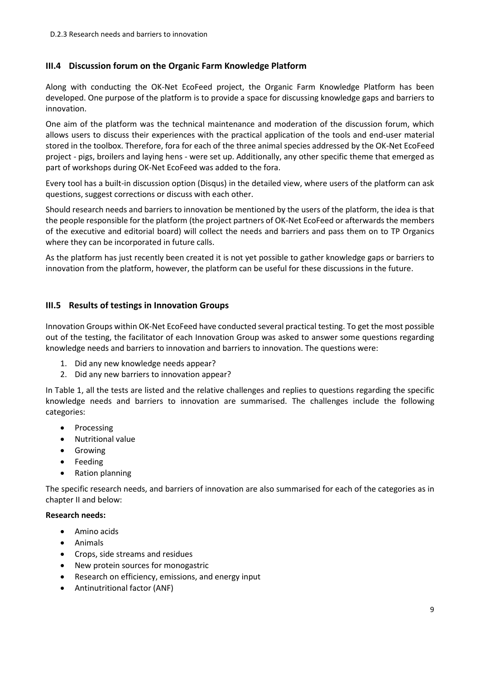### **III.4 Discussion forum on the Organic Farm Knowledge Platform**

Along with conducting the OK-Net EcoFeed project, the Organic Farm Knowledge Platform has been developed. One purpose of the platform is to provide a space for discussing knowledge gaps and barriers to innovation.

One aim of the platform was the technical maintenance and moderation of the discussion forum, which allows users to discuss their experiences with the practical application of the tools and end-user material stored in the toolbox. Therefore, fora for each of the three animal species addressed by the OK-Net EcoFeed project - pigs, broilers and laying hens - were set up. Additionally, any other specific theme that emerged as part of workshops during OK-Net EcoFeed was added to the fora.

Every tool has a built-in discussion option (Disqus) in the detailed view, where users of the platform can ask questions, suggest corrections or discuss with each other.

Should research needs and barriers to innovation be mentioned by the users of the platform, the idea is that the people responsible for the platform (the project partners of OK-Net EcoFeed or afterwards the members of the executive and editorial board) will collect the needs and barriers and pass them on to TP Organics where they can be incorporated in future calls.

As the platform has just recently been created it is not yet possible to gather knowledge gaps or barriers to innovation from the platform, however, the platform can be useful for these discussions in the future.

#### **III.5 Results of testings in Innovation Groups**

Innovation Groups within OK-Net EcoFeed have conducted several practical testing. To get the most possible out of the testing, the facilitator of each Innovation Group was asked to answer some questions regarding knowledge needs and barriers to innovation and barriers to innovation. The questions were:

- 1. Did any new knowledge needs appear?
- 2. Did any new barriers to innovation appear?

In [Table 1,](#page-10-0) all the tests are listed and the relative challenges and replies to questions regarding the specific knowledge needs and barriers to innovation are summarised. The challenges include the following categories:

- Processing
- Nutritional value
- Growing
- Feeding
- Ration planning

The specific research needs, and barriers of innovation are also summarised for each of the categories as in chapter [II](#page-4-1) and below:

#### **Research needs:**

- Amino acids
- Animals
- Crops, side streams and residues
- New protein sources for monogastric
- Research on efficiency, emissions, and energy input
- Antinutritional factor (ANF)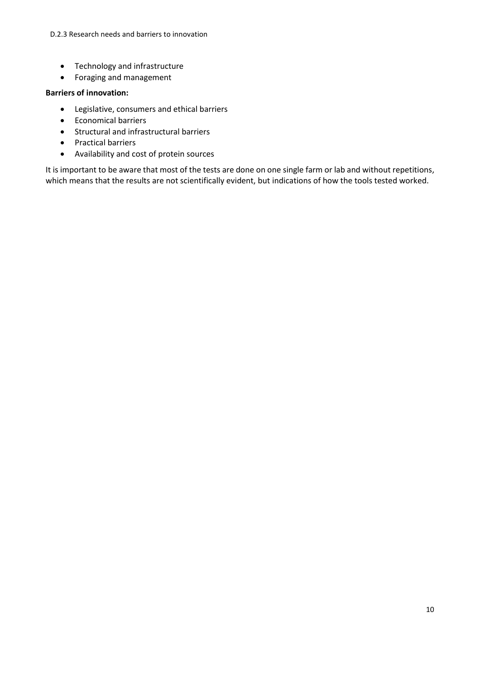D.2.3 Research needs and barriers to innovation

- Technology and infrastructure
- Foraging and management

#### **Barriers of innovation:**

- Legislative, consumers and ethical barriers
- Economical barriers
- Structural and infrastructural barriers
- Practical barriers
- Availability and cost of protein sources

It is important to be aware that most of the tests are done on one single farm or lab and without repetitions, which means that the results are not scientifically evident, but indications of how the tools tested worked.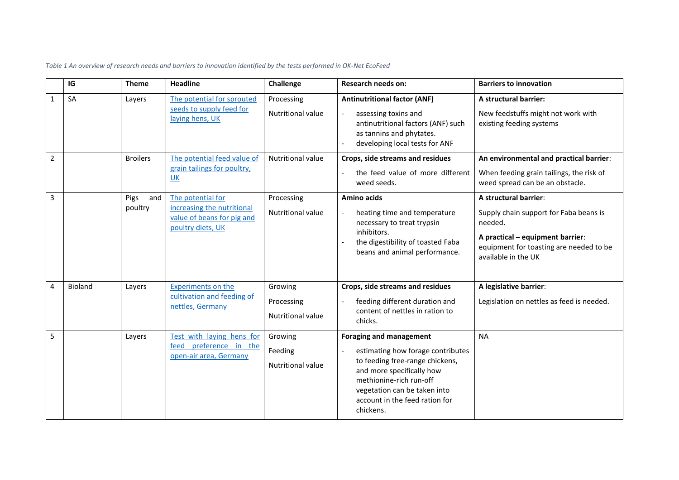<span id="page-10-0"></span>

|                | IG             | <b>Theme</b>           | <b>Headline</b>                                                                                    | Challenge                                         | <b>Research needs on:</b>                                                                                                                                                                                                                     | <b>Barriers to innovation</b>                                                                                                                                                    |
|----------------|----------------|------------------------|----------------------------------------------------------------------------------------------------|---------------------------------------------------|-----------------------------------------------------------------------------------------------------------------------------------------------------------------------------------------------------------------------------------------------|----------------------------------------------------------------------------------------------------------------------------------------------------------------------------------|
| $\mathbf{1}$   | SA             | Layers                 | The potential for sprouted<br>seeds to supply feed for<br>laying hens, UK                          | Processing<br><b>Nutritional value</b>            | <b>Antinutritional factor (ANF)</b><br>assessing toxins and<br>antinutritional factors (ANF) such<br>as tannins and phytates.<br>developing local tests for ANF                                                                               | A structural barrier:<br>New feedstuffs might not work with<br>existing feeding systems                                                                                          |
| $\overline{2}$ |                | <b>Broilers</b>        | The potential feed value of<br>grain tailings for poultry,<br>UK                                   | Nutritional value                                 | Crops, side streams and residues<br>the feed value of more different<br>weed seeds.                                                                                                                                                           | An environmental and practical barrier:<br>When feeding grain tailings, the risk of<br>weed spread can be an obstacle.                                                           |
| 3              |                | Pigs<br>and<br>poultry | The potential for<br>increasing the nutritional<br>value of beans for pig and<br>poultry diets, UK | Processing<br><b>Nutritional value</b>            | <b>Amino acids</b><br>heating time and temperature<br>necessary to treat trypsin<br>inhibitors.<br>the digestibility of toasted Faba<br>beans and animal performance.                                                                         | A structural barrier:<br>Supply chain support for Faba beans is<br>needed.<br>A practical - equipment barrier:<br>equipment for toasting are needed to be<br>available in the UK |
| $\overline{4}$ | <b>Bioland</b> | Layers                 | <b>Experiments on the</b><br>cultivation and feeding of<br>nettles, Germany                        | Growing<br>Processing<br><b>Nutritional value</b> | Crops, side streams and residues<br>feeding different duration and<br>content of nettles in ration to<br>chicks.                                                                                                                              | A legislative barrier:<br>Legislation on nettles as feed is needed.                                                                                                              |
| 5              |                | Layers                 | Test with laying hens for<br>feed preference in the<br>open-air area, Germany                      | Growing<br>Feeding<br><b>Nutritional value</b>    | <b>Foraging and management</b><br>estimating how forage contributes<br>to feeding free-range chickens,<br>and more specifically how<br>methionine-rich run-off<br>vegetation can be taken into<br>account in the feed ration for<br>chickens. | <b>NA</b>                                                                                                                                                                        |

*Table 1 An overview of research needs and barriers to innovation identified by the tests performed in OK-Net EcoFeed*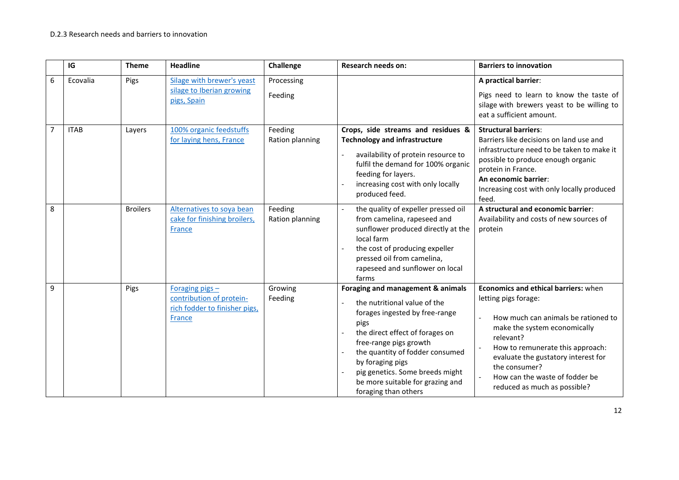|                | IG          | <b>Theme</b>    | <b>Headline</b>                                                                        | Challenge                  | <b>Research needs on:</b>                                                                                                                                                                                                                                                                                                      | <b>Barriers to innovation</b>                                                                                                                                                                                                                                                                                                                                          |
|----------------|-------------|-----------------|----------------------------------------------------------------------------------------|----------------------------|--------------------------------------------------------------------------------------------------------------------------------------------------------------------------------------------------------------------------------------------------------------------------------------------------------------------------------|------------------------------------------------------------------------------------------------------------------------------------------------------------------------------------------------------------------------------------------------------------------------------------------------------------------------------------------------------------------------|
| 6              | Ecovalia    | Pigs            | Silage with brewer's yeast                                                             | Processing                 |                                                                                                                                                                                                                                                                                                                                | A practical barrier:                                                                                                                                                                                                                                                                                                                                                   |
|                |             |                 | silage to Iberian growing<br>pigs, Spain                                               | Feeding                    |                                                                                                                                                                                                                                                                                                                                | Pigs need to learn to know the taste of<br>silage with brewers yeast to be willing to<br>eat a sufficient amount.                                                                                                                                                                                                                                                      |
| $\overline{7}$ | <b>ITAB</b> | Lavers          | 100% organic feedstuffs<br>for laying hens, France                                     | Feeding<br>Ration planning | Crops, side streams and residues &<br><b>Technology and infrastructure</b><br>availability of protein resource to<br>fulfil the demand for 100% organic<br>feeding for layers.<br>increasing cost with only locally<br>produced feed.                                                                                          | <b>Structural barriers:</b><br>Barriers like decisions on land use and<br>infrastructure need to be taken to make it<br>possible to produce enough organic<br>protein in France.<br>An economic barrier:<br>Increasing cost with only locally produced<br>feed.                                                                                                        |
| 8              |             | <b>Broilers</b> | Alternatives to soya bean<br>cake for finishing broilers,<br>France                    | Feeding<br>Ration planning | the quality of expeller pressed oil<br>from camelina, rapeseed and<br>sunflower produced directly at the<br>local farm<br>the cost of producing expeller<br>pressed oil from camelina,<br>rapeseed and sunflower on local<br>farms                                                                                             | A structural and economic barrier:<br>Availability and costs of new sources of<br>protein                                                                                                                                                                                                                                                                              |
| 9              |             | Pigs            | Foraging pigs -<br>contribution of protein-<br>rich fodder to finisher pigs,<br>France | Growing<br>Feeding         | Foraging and management & animals<br>the nutritional value of the<br>forages ingested by free-range<br>pigs<br>the direct effect of forages on<br>free-range pigs growth<br>the quantity of fodder consumed<br>by foraging pigs<br>pig genetics. Some breeds might<br>be more suitable for grazing and<br>foraging than others | Economics and ethical barriers: when<br>letting pigs forage:<br>How much can animals be rationed to<br>make the system economically<br>relevant?<br>How to remunerate this approach:<br>$\overline{\phantom{a}}$<br>evaluate the gustatory interest for<br>the consumer?<br>How can the waste of fodder be<br>$\overline{\phantom{a}}$<br>reduced as much as possible? |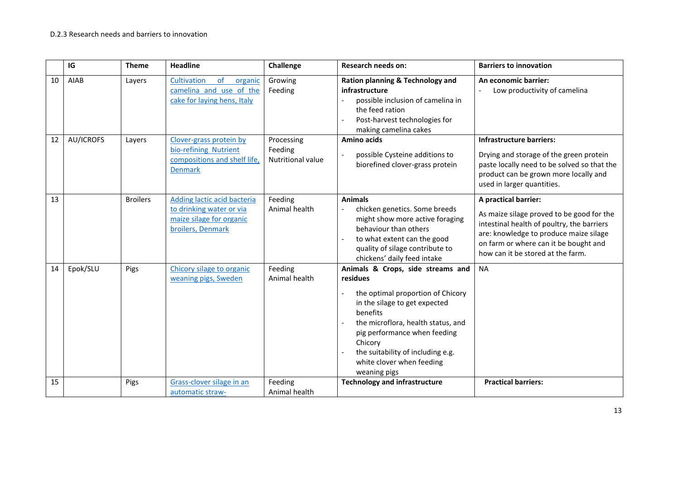|    | IG        | <b>Theme</b>    | <b>Headline</b>                                                                                          | Challenge                                  | <b>Research needs on:</b>                                                                                                                                                                                                                                                                          | <b>Barriers to innovation</b>                                                                                                                                                                                                           |
|----|-----------|-----------------|----------------------------------------------------------------------------------------------------------|--------------------------------------------|----------------------------------------------------------------------------------------------------------------------------------------------------------------------------------------------------------------------------------------------------------------------------------------------------|-----------------------------------------------------------------------------------------------------------------------------------------------------------------------------------------------------------------------------------------|
| 10 | AIAB      | Layers          | Cultivation<br>of<br>organic<br>camelina and use of the<br>cake for laying hens, Italy                   | Growing<br>Feeding                         | Ration planning & Technology and<br>infrastructure<br>possible inclusion of camelina in<br>the feed ration<br>Post-harvest technologies for<br>making camelina cakes                                                                                                                               | An economic barrier:<br>Low productivity of camelina                                                                                                                                                                                    |
| 12 | AU/ICROFS | Layers          | Clover-grass protein by<br>bio-refining Nutrient<br>compositions and shelf life,<br><b>Denmark</b>       | Processing<br>Feeding<br>Nutritional value | Amino acids<br>possible Cysteine additions to<br>biorefined clover-grass protein                                                                                                                                                                                                                   | <b>Infrastructure barriers:</b><br>Drying and storage of the green protein<br>paste locally need to be solved so that the<br>product can be grown more locally and<br>used in larger quantities.                                        |
| 13 |           | <b>Broilers</b> | Adding lactic acid bacteria<br>to drinking water or via<br>maize silage for organic<br>broilers, Denmark | Feeding<br>Animal health                   | <b>Animals</b><br>chicken genetics. Some breeds<br>might show more active foraging<br>behaviour than others<br>to what extent can the good<br>quality of silage contribute to<br>chickens' daily feed intake                                                                                       | A practical barrier:<br>As maize silage proved to be good for the<br>intestinal health of poultry, the barriers<br>are: knowledge to produce maize silage<br>on farm or where can it be bought and<br>how can it be stored at the farm. |
| 14 | Epok/SLU  | Pigs            | Chicory silage to organic<br>weaning pigs, Sweden                                                        | Feeding<br>Animal health                   | Animals & Crops, side streams and<br>residues<br>the optimal proportion of Chicory<br>in the silage to get expected<br>benefits<br>the microflora, health status, and<br>pig performance when feeding<br>Chicory<br>the suitability of including e.g.<br>white clover when feeding<br>weaning pigs | <b>NA</b>                                                                                                                                                                                                                               |
| 15 |           | Pigs            | Grass-clover silage in an<br>automatic straw-                                                            | Feeding<br>Animal health                   | <b>Technology and infrastructure</b>                                                                                                                                                                                                                                                               | <b>Practical barriers:</b>                                                                                                                                                                                                              |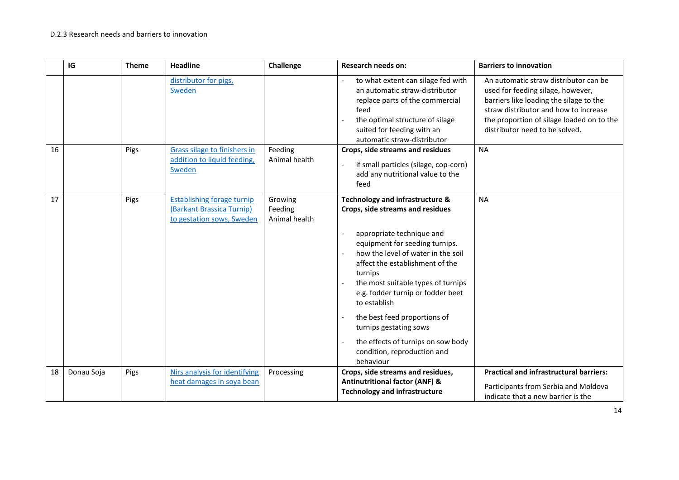|    | IG         | <b>Theme</b> | <b>Headline</b>                                                                             | Challenge                           | <b>Research needs on:</b>                                                                                                                                                                                                                                                                                                                                                                                                                                                     | <b>Barriers to innovation</b>                                                                                                                                                                                                                 |
|----|------------|--------------|---------------------------------------------------------------------------------------------|-------------------------------------|-------------------------------------------------------------------------------------------------------------------------------------------------------------------------------------------------------------------------------------------------------------------------------------------------------------------------------------------------------------------------------------------------------------------------------------------------------------------------------|-----------------------------------------------------------------------------------------------------------------------------------------------------------------------------------------------------------------------------------------------|
|    |            |              | distributor for pigs,<br>Sweden                                                             |                                     | to what extent can silage fed with<br>an automatic straw-distributor<br>replace parts of the commercial<br>feed<br>the optimal structure of silage<br>$\overline{a}$<br>suited for feeding with an<br>automatic straw-distributor                                                                                                                                                                                                                                             | An automatic straw distributor can be<br>used for feeding silage, however,<br>barriers like loading the silage to the<br>straw distributor and how to increase<br>the proportion of silage loaded on to the<br>distributor need to be solved. |
| 16 |            | Pigs         | Grass silage to finishers in<br>addition to liquid feeding,<br>Sweden                       | Feeding<br>Animal health            | Crops, side streams and residues<br>if small particles (silage, cop-corn)<br>$\frac{1}{2}$<br>add any nutritional value to the<br>feed                                                                                                                                                                                                                                                                                                                                        | <b>NA</b>                                                                                                                                                                                                                                     |
| 17 |            | Pigs         | <b>Establishing forage turnip</b><br>(Barkant Brassica Turnip)<br>to gestation sows, Sweden | Growing<br>Feeding<br>Animal health | Technology and infrastructure &<br>Crops, side streams and residues<br>appropriate technique and<br>$\mathbf{r}$<br>equipment for seeding turnips.<br>how the level of water in the soil<br>affect the establishment of the<br>turnips<br>the most suitable types of turnips<br>e.g. fodder turnip or fodder beet<br>to establish<br>the best feed proportions of<br>turnips gestating sows<br>the effects of turnips on sow body<br>condition, reproduction and<br>behaviour | <b>NA</b>                                                                                                                                                                                                                                     |
| 18 | Donau Soja | Pigs         | Nirs analysis for identifying<br>heat damages in soya bean                                  | Processing                          | Crops, side streams and residues,<br><b>Antinutritional factor (ANF) &amp;</b><br><b>Technology and infrastructure</b>                                                                                                                                                                                                                                                                                                                                                        | <b>Practical and infrastructural barriers:</b><br>Participants from Serbia and Moldova<br>indicate that a new barrier is the                                                                                                                  |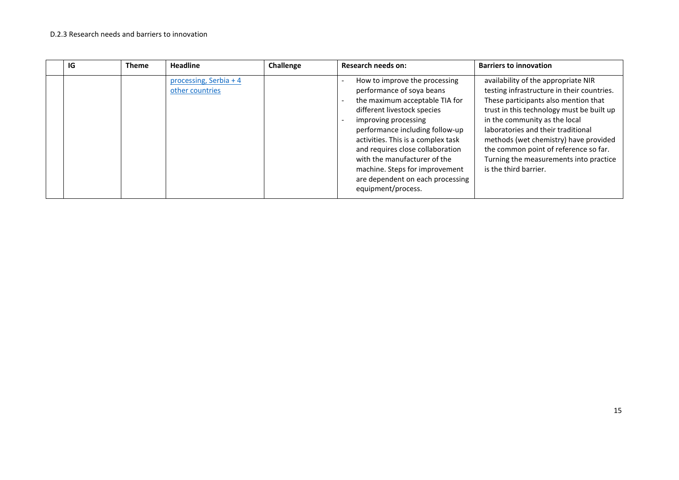| IG | <b>Theme</b> | <b>Headline</b>                           | Challenge | Research needs on:                                                                                                                                                                                                                                                                                                                                                                           | <b>Barriers to innovation</b>                                                                                                                                                                                                                                                                                                                                                                      |
|----|--------------|-------------------------------------------|-----------|----------------------------------------------------------------------------------------------------------------------------------------------------------------------------------------------------------------------------------------------------------------------------------------------------------------------------------------------------------------------------------------------|----------------------------------------------------------------------------------------------------------------------------------------------------------------------------------------------------------------------------------------------------------------------------------------------------------------------------------------------------------------------------------------------------|
|    |              | processing, Serbia + 4<br>other countries |           | How to improve the processing<br>performance of soya beans<br>the maximum acceptable TIA for<br>different livestock species<br>improving processing<br>performance including follow-up<br>activities. This is a complex task<br>and requires close collaboration<br>with the manufacturer of the<br>machine. Steps for improvement<br>are dependent on each processing<br>equipment/process. | availability of the appropriate NIR<br>testing infrastructure in their countries.<br>These participants also mention that<br>trust in this technology must be built up<br>in the community as the local<br>laboratories and their traditional<br>methods (wet chemistry) have provided<br>the common point of reference so far.<br>Turning the measurements into practice<br>is the third barrier. |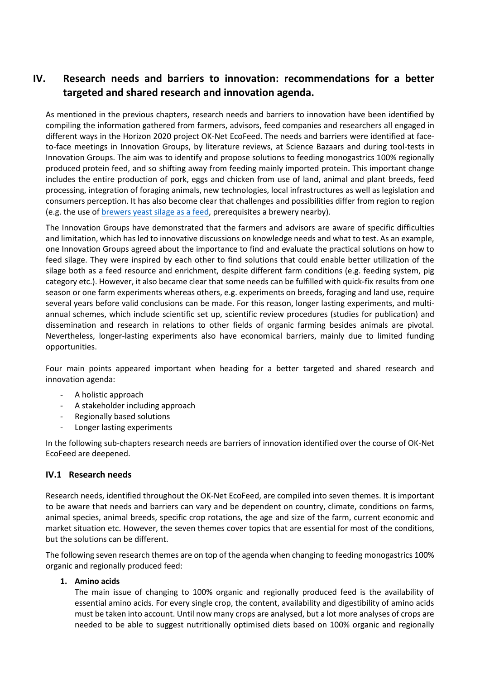# <span id="page-15-0"></span>**IV. Research needs and barriers to innovation: recommendations for a better targeted and shared research and innovation agenda.**

As mentioned in the previous chapters, research needs and barriers to innovation have been identified by compiling the information gathered from farmers, advisors, feed companies and researchers all engaged in different ways in the Horizon 2020 project OK-Net EcoFeed. The needs and barriers were identified at faceto-face meetings in Innovation Groups, by literature reviews, at Science Bazaars and during tool-tests in Innovation Groups. The aim was to identify and propose solutions to feeding monogastrics 100% regionally produced protein feed, and so shifting away from feeding mainly imported protein. This important change includes the entire production of pork, eggs and chicken from use of land, animal and plant breeds, feed processing, integration of foraging animals, new technologies, local infrastructures as well as legislation and consumers perception. It has also become clear that challenges and possibilities differ from region to region (e.g. the use of [brewers yeast silage as a feed,](https://www.youtube.com/watch?v=e7tRD3cTyp4) prerequisites a brewery nearby).

The Innovation Groups have demonstrated that the farmers and advisors are aware of specific difficulties and limitation, which has led to innovative discussions on knowledge needs and what to test. As an example, one Innovation Groups agreed about the importance to find and evaluate the practical solutions on how to feed silage. They were inspired by each other to find solutions that could enable better utilization of the silage both as a feed resource and enrichment, despite different farm conditions (e.g. feeding system, pig category etc.). However, it also became clear that some needs can be fulfilled with quick-fix results from one season or one farm experiments whereas others, e.g. experiments on breeds, foraging and land use, require several years before valid conclusions can be made. For this reason, longer lasting experiments, and multiannual schemes, which include scientific set up, scientific review procedures (studies for publication) and dissemination and research in relations to other fields of organic farming besides animals are pivotal. Nevertheless, longer-lasting experiments also have economical barriers, mainly due to limited funding opportunities.

Four main points appeared important when heading for a better targeted and shared research and innovation agenda:

- A holistic approach
- A stakeholder including approach
- Regionally based solutions
- Longer lasting experiments

In the following sub-chapters research needs are barriers of innovation identified over the course of OK-Net EcoFeed are deepened.

#### **IV.1 Research needs**

Research needs, identified throughout the OK-Net EcoFeed, are compiled into seven themes. It is important to be aware that needs and barriers can vary and be dependent on country, climate, conditions on farms, animal species, animal breeds, specific crop rotations, the age and size of the farm, current economic and market situation etc. However, the seven themes cover topics that are essential for most of the conditions, but the solutions can be different.

The following seven research themes are on top of the agenda when changing to feeding monogastrics 100% organic and regionally produced feed:

#### **1. Amino acids**

The main issue of changing to 100% organic and regionally produced feed is the availability of essential amino acids. For every single crop, the content, availability and digestibility of amino acids must be taken into account. Until now many crops are analysed, but a lot more analyses of crops are needed to be able to suggest nutritionally optimised diets based on 100% organic and regionally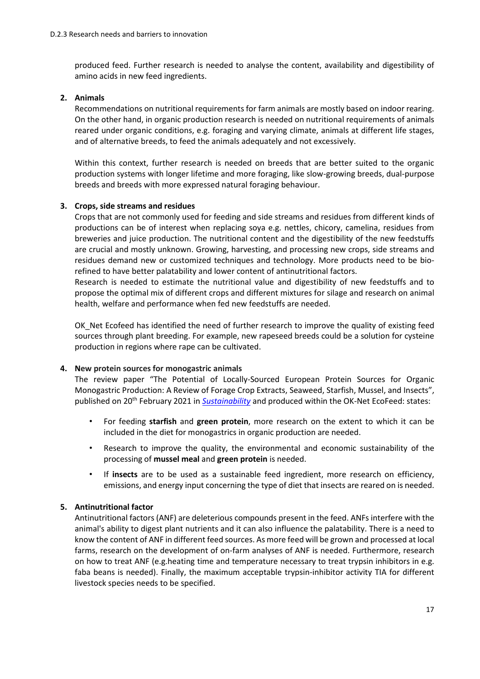produced feed. Further research is needed to analyse the content, availability and digestibility of amino acids in new feed ingredients.

#### **2. Animals**

Recommendations on nutritional requirements for farm animals are mostly based on indoor rearing. On the other hand, in organic production research is needed on nutritional requirements of animals reared under organic conditions, e.g. foraging and varying climate, animals at different life stages, and of alternative breeds, to feed the animals adequately and not excessively.

Within this context, further research is needed on breeds that are better suited to the organic production systems with longer lifetime and more foraging, like slow-growing breeds, dual-purpose breeds and breeds with more expressed natural foraging behaviour.

#### **3. Crops, side streams and residues**

Crops that are not commonly used for feeding and side streams and residues from different kinds of productions can be of interest when replacing soya e.g. nettles, chicory, camelina, residues from breweries and juice production. The nutritional content and the digestibility of the new feedstuffs are crucial and mostly unknown. Growing, harvesting, and processing new crops, side streams and residues demand new or customized techniques and technology. More products need to be biorefined to have better palatability and lower content of antinutritional factors.

Research is needed to estimate the nutritional value and digestibility of new feedstuffs and to propose the optimal mix of different crops and different mixtures for silage and research on animal health, welfare and performance when fed new feedstuffs are needed.

OK\_Net Ecofeed has identified the need of further research to improve the quality of existing feed sources through plant breeding. For example, new rapeseed breeds could be a solution for cysteine production in regions where rape can be cultivated.

#### **4. New protein sources for monogastric animals**

The review paper "The Potential of Locally-Sourced European Protein Sources for Organic Monogastric Production: A Review of Forage Crop Extracts, Seaweed, Starfish, Mussel, and Insects", published on 20<sup>th</sup> February 2021 in **[Sustainability](https://www.mdpi.com/2071-1050/13/4/2303/pdf)** and produced within the OK-Net EcoFeed: states:

- For feeding **starfish** and **green protein**, more research on the extent to which it can be included in the diet for monogastrics in organic production are needed.
- Research to improve the quality, the environmental and economic sustainability of the processing of **mussel meal** and **green protein** is needed.
- If **insects** are to be used as a sustainable feed ingredient, more research on efficiency, emissions, and energy input concerning the type of diet that insects are reared on is needed.

#### **5. Antinutritional factor**

Antinutritional factors (ANF) are deleterious compounds present in the feed. ANFs interfere with the animal's ability to digest plant nutrients and it can also influence the palatability. There is a need to know the content of ANF in different feed sources. As more feed will be grown and processed at local farms, research on the development of on-farm analyses of ANF is needed. Furthermore, research on how to treat ANF (e.g.heating time and temperature necessary to treat trypsin inhibitors in e.g. faba beans is needed). Finally, the maximum acceptable trypsin-inhibitor activity TIA for different livestock species needs to be specified.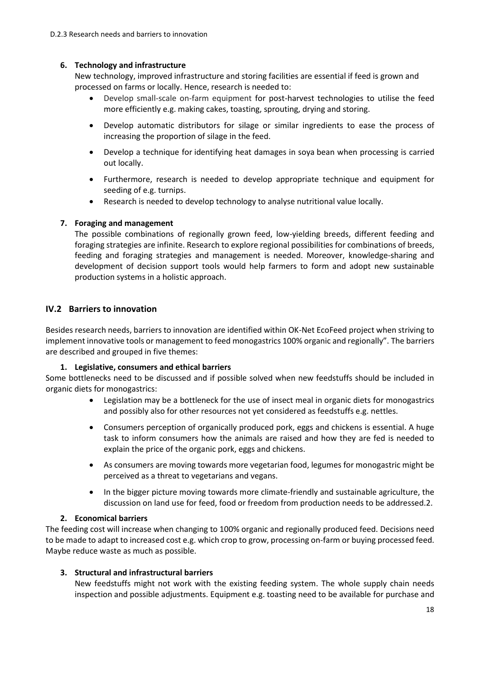### **6. Technology and infrastructure**

New technology, improved infrastructure and storing facilities are essential if feed is grown and processed on farms or locally. Hence, research is needed to:

- Develop small-scale on-farm equipment for post-harvest technologies to utilise the feed more efficiently e.g. making cakes, toasting, sprouting, drying and storing.
- Develop automatic distributors for silage or similar ingredients to ease the process of increasing the proportion of silage in the feed.
- Develop a technique for identifying heat damages in soya bean when processing is carried out locally.
- Furthermore, research is needed to develop appropriate technique and equipment for seeding of e.g. turnips.
- Research is needed to develop technology to analyse nutritional value locally.

## **7. Foraging and management**

The possible combinations of regionally grown feed, low-yielding breeds, different feeding and foraging strategies are infinite. Research to explore regional possibilities for combinations of breeds, feeding and foraging strategies and management is needed. Moreover, knowledge-sharing and development of decision support tools would help farmers to form and adopt new sustainable production systems in a holistic approach.

## **IV.2 Barriers to innovation**

Besides research needs, barriers to innovation are identified within OK-Net EcoFeed project when striving to implement innovative tools or management to feed monogastrics 100% organic and regionally". The barriers are described and grouped in five themes:

#### **1. Legislative, consumers and ethical barriers**

Some bottlenecks need to be discussed and if possible solved when new feedstuffs should be included in organic diets for monogastrics:

- Legislation may be a bottleneck for the use of insect meal in organic diets for monogastrics and possibly also for other resources not yet considered as feedstuffs e.g. nettles.
- Consumers perception of organically produced pork, eggs and chickens is essential. A huge task to inform consumers how the animals are raised and how they are fed is needed to explain the price of the organic pork, eggs and chickens.
- As consumers are moving towards more vegetarian food, legumes for monogastric might be perceived as a threat to vegetarians and vegans.
- In the bigger picture moving towards more climate-friendly and sustainable agriculture, the discussion on land use for feed, food or freedom from production needs to be addressed.2.

#### **2. Economical barriers**

The feeding cost will increase when changing to 100% organic and regionally produced feed. Decisions need to be made to adapt to increased cost e.g. which crop to grow, processing on-farm or buying processed feed. Maybe reduce waste as much as possible.

## **3. Structural and infrastructural barriers**

New feedstuffs might not work with the existing feeding system. The whole supply chain needs inspection and possible adjustments. Equipment e.g. toasting need to be available for purchase and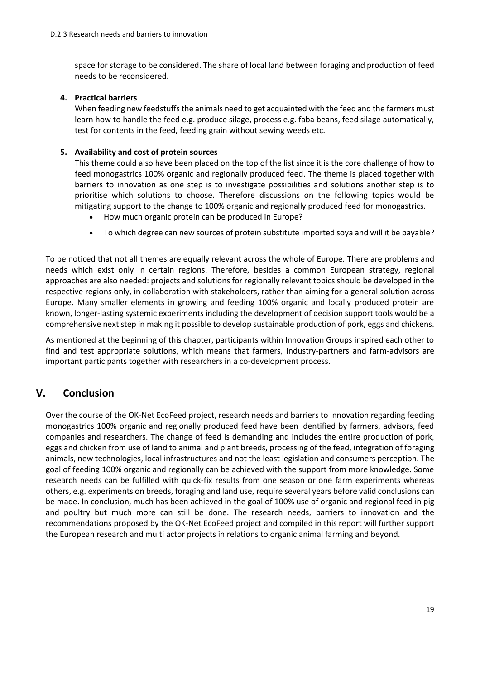space for storage to be considered. The share of local land between foraging and production of feed needs to be reconsidered.

#### **4. Practical barriers**

When feeding new feedstuffs the animals need to get acquainted with the feed and the farmers must learn how to handle the feed e.g. produce silage, process e.g. faba beans, feed silage automatically, test for contents in the feed, feeding grain without sewing weeds etc.

#### **5. Availability and cost of protein sources**

This theme could also have been placed on the top of the list since it is the core challenge of how to feed monogastrics 100% organic and regionally produced feed. The theme is placed together with barriers to innovation as one step is to investigate possibilities and solutions another step is to prioritise which solutions to choose. Therefore discussions on the following topics would be mitigating support to the change to 100% organic and regionally produced feed for monogastrics.

- How much organic protein can be produced in Europe?
- To which degree can new sources of protein substitute imported soya and will it be payable?

To be noticed that not all themes are equally relevant across the whole of Europe. There are problems and needs which exist only in certain regions. Therefore, besides a common European strategy, regional approaches are also needed: projects and solutions for regionally relevant topics should be developed in the respective regions only, in collaboration with stakeholders, rather than aiming for a general solution across Europe. Many smaller elements in growing and feeding 100% organic and locally produced protein are known, longer-lasting systemic experiments including the development of decision support tools would be a comprehensive next step in making it possible to develop sustainable production of pork, eggs and chickens.

As mentioned at the beginning of this chapter, participants within Innovation Groups inspired each other to find and test appropriate solutions, which means that farmers, industry-partners and farm-advisors are important participants together with researchers in a co-development process.

# <span id="page-18-0"></span>**V. Conclusion**

Over the course of the OK-Net EcoFeed project, research needs and barriers to innovation regarding feeding monogastrics 100% organic and regionally produced feed have been identified by farmers, advisors, feed companies and researchers. The change of feed is demanding and includes the entire production of pork, eggs and chicken from use of land to animal and plant breeds, processing of the feed, integration of foraging animals, new technologies, local infrastructures and not the least legislation and consumers perception. The goal of feeding 100% organic and regionally can be achieved with the support from more knowledge. Some research needs can be fulfilled with quick-fix results from one season or one farm experiments whereas others, e.g. experiments on breeds, foraging and land use, require several years before valid conclusions can be made. In conclusion, much has been achieved in the goal of 100% use of organic and regional feed in pig and poultry but much more can still be done. The research needs, barriers to innovation and the recommendations proposed by the OK-Net EcoFeed project and compiled in this report will further support the European research and multi actor projects in relations to organic animal farming and beyond.